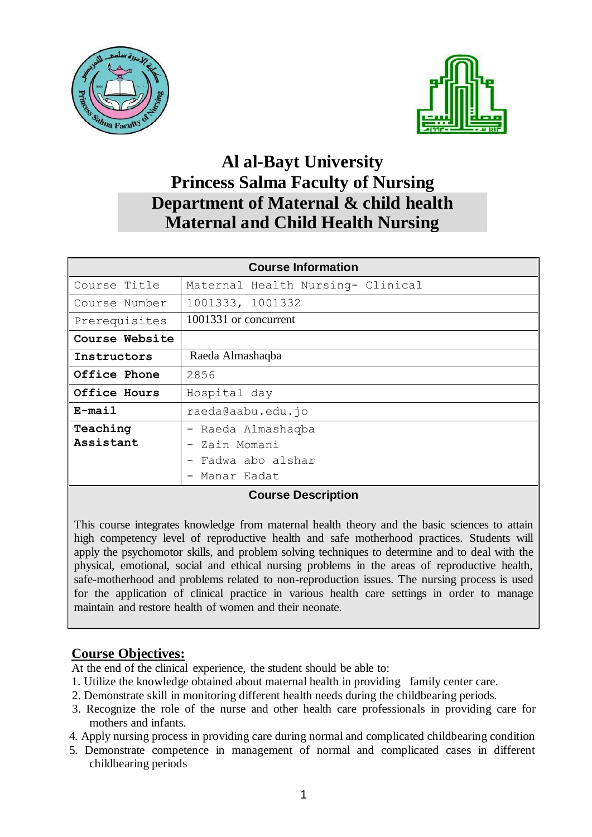



## **Al al-Bayt University Princess Salma Faculty of Nursing Department of Maternal & child health Maternal and Child Health Nursing**

| <b>Course Information</b> |                                   |  |  |  |
|---------------------------|-----------------------------------|--|--|--|
| Course Title              | Maternal Health Nursing- Clinical |  |  |  |
| Course Number             | 1001333, 1001332                  |  |  |  |
| Prerequisites             | 1001331 or concurrent             |  |  |  |
| Course Website            |                                   |  |  |  |
| Instructors               | Raeda Almashaqba                  |  |  |  |
| Office Phone              | 2856                              |  |  |  |
| Office Hours              | Hospital day                      |  |  |  |
| $E$ -mail                 | raeda@aabu.edu.jo                 |  |  |  |
| Teaching                  | - Raeda Almashaqba                |  |  |  |
| Assistant                 | - Zain Momani                     |  |  |  |
|                           | Fadwa abo alshar                  |  |  |  |
|                           | Manar Eadat                       |  |  |  |

## **Course Description**

This course integrates knowledge from maternal health theory and the basic sciences to attain high competency level of reproductive health and safe motherhood practices. Students will apply the psychomotor skills, and problem solving techniques to determine and to deal with the physical, emotional, social and ethical nursing problems in the areas of reproductive health, safe-motherhood and problems related to non-reproduction issues. The nursing process is used for the application of clinical practice in various health care settings in order to manage maintain and restore health of women and their neonate.

## **Course Objectives:**

At the end of the clinical experience, the student should be able to:

- 1. Utilize the knowledge obtained about maternal health in providing family center care.
- 2. Demonstrate skill in monitoring different health needs during the childbearing periods.
- 3. Recognize the role of the nurse and other health care professionals in providing care for mothers and infants.
- 4. Apply nursing process in providing care during normal and complicated childbearing condition
- 5. Demonstrate competence in management of normal and complicated cases in different childbearing periods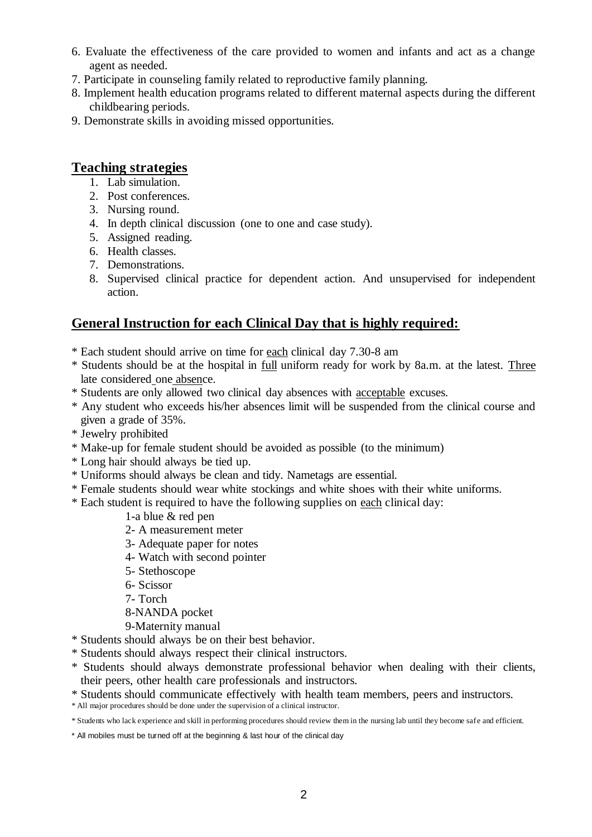- 6. Evaluate the effectiveness of the care provided to women and infants and act as a change agent as needed.
- 7. Participate in counseling family related to reproductive family planning.
- 8. Implement health education programs related to different maternal aspects during the different childbearing periods.
- 9. Demonstrate skills in avoiding missed opportunities.

## **Teaching strategies**

- 1. Lab simulation.
- 2. Post conferences.
- 3. Nursing round.
- 4. In depth clinical discussion (one to one and case study).
- 5. Assigned reading.
- 6. Health classes.
- 7. Demonstrations.
- 8. Supervised clinical practice for dependent action. And unsupervised for independent action.

## **General Instruction for each Clinical Day that is highly required:**

- \* Each student should arrive on time for each clinical day 7.30-8 am
- \* Students should be at the hospital in full uniform ready for work by 8a.m. at the latest. Three late considered one absence.
- \* Students are only allowed two clinical day absences with acceptable excuses.
- \* Any student who exceeds his/her absences limit will be suspended from the clinical course and given a grade of 35%.
- \* Jewelry prohibited
- \* Make-up for female student should be avoided as possible (to the minimum)
- \* Long hair should always be tied up.
- \* Uniforms should always be clean and tidy. Nametags are essential.
- \* Female students should wear white stockings and white shoes with their white uniforms.
- \* Each student is required to have the following supplies on each clinical day:
	- 1-a blue & red pen
	- 2- A measurement meter
	- 3- Adequate paper for notes
	- 4- Watch with second pointer
	- 5- Stethoscope
	- 6- Scissor
	- 7- Torch
	- 8-NANDA pocket
	- 9-Maternity manual
- \* Students should always be on their best behavior.
- \* Students should always respect their clinical instructors.
- \* Students should always demonstrate professional behavior when dealing with their clients, their peers, other health care professionals and instructors.
- \* Students should communicate effectively with health team members, peers and instructors.
- \* All major procedures should be done under the supervision of a clinical instructor.

\* Students who lack experience and skill in performing procedures should review them in the nursing lab until they become safe and efficient.

\* All mobiles must be turned off at the beginning & last hour of the clinical day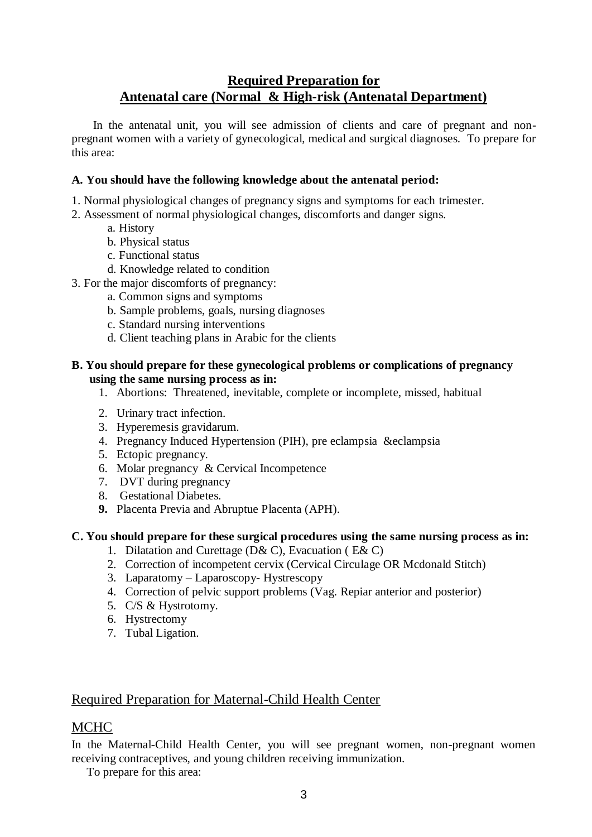## **Required Preparation for Antenatal care (Normal & High-risk (Antenatal Department)**

 In the antenatal unit, you will see admission of clients and care of pregnant and nonpregnant women with a variety of gynecological, medical and surgical diagnoses. To prepare for this area:

## **A. You should have the following knowledge about the antenatal period:**

- 1. Normal physiological changes of pregnancy signs and symptoms for each trimester.
- 2. Assessment of normal physiological changes, discomforts and danger signs.
	- a. History
	- b. Physical status
	- c. Functional status
	- d. Knowledge related to condition
- 3. For the major discomforts of pregnancy:
	- a. Common signs and symptoms
	- b. Sample problems, goals, nursing diagnoses
	- c. Standard nursing interventions
	- d. Client teaching plans in Arabic for the clients

### **B. You should prepare for these gynecological problems or complications of pregnancy using the same nursing process as in:**

- 1. Abortions: Threatened, inevitable, complete or incomplete, missed, habitual
- 2. Urinary tract infection.
- 3. Hyperemesis gravidarum.
- 4. Pregnancy Induced Hypertension (PIH), pre eclampsia &eclampsia
- 5. Ectopic pregnancy.
- 6. Molar pregnancy & Cervical Incompetence
- 7. DVT during pregnancy
- 8. Gestational Diabetes.
- **9.** Placenta Previa and Abruptue Placenta (APH).

### **C. You should prepare for these surgical procedures using the same nursing process as in:**

- 1. Dilatation and Curettage (D& C), Evacuation ( E& C)
- 2. Correction of incompetent cervix (Cervical Circulage OR Mcdonald Stitch)
- 3. Laparatomy Laparoscopy- Hystrescopy
- 4. Correction of pelvic support problems (Vag. Repiar anterior and posterior)
- 5. C/S & Hystrotomy.
- 6. Hystrectomy
- 7. Tubal Ligation.

## Required Preparation for Maternal-Child Health Center

## MCHC

In the Maternal-Child Health Center, you will see pregnant women, non-pregnant women receiving contraceptives, and young children receiving immunization.

To prepare for this area: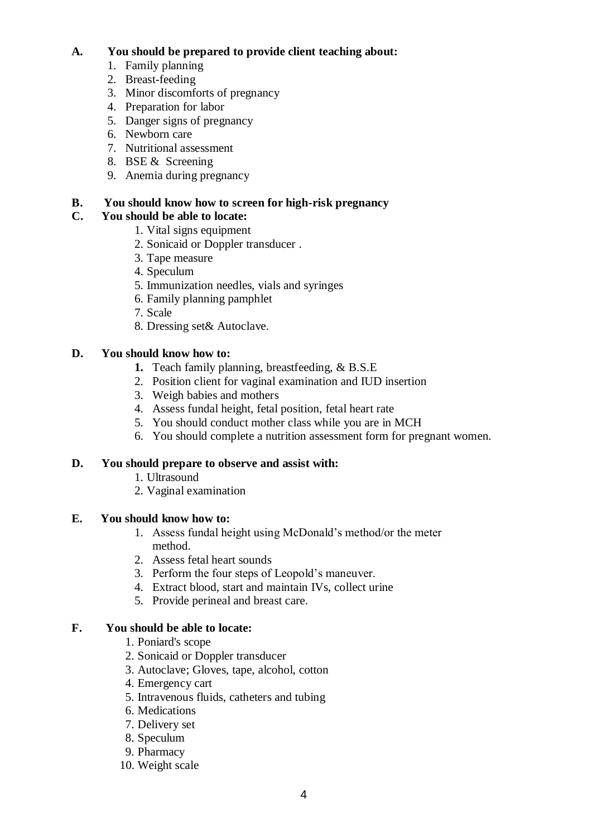## **A. You should be prepared to provide client teaching about:**

- 1. Family planning
- 2. Breast-feeding
- 3. Minor discomforts of pregnancy
- 4. Preparation for labor
- 5. Danger signs of pregnancy
- 6. Newborn care
- 7. Nutritional assessment
- 8. BSE & Screening
- 9. Anemia during pregnancy

## **B. You should know how to screen for high-risk pregnancy**

## **C. You should be able to locate:**

- 1. Vital signs equipment
- 2. Sonicaid or Doppler transducer .
- 3. Tape measure
- 4. Speculum
- 5. Immunization needles, vials and syringes
- 6. Family planning pamphlet
- 7. Scale
- 8. Dressing set& Autoclave.

## **D. You should know how to:**

- **1.** Teach family planning, breastfeeding, & B.S.E
- 2. Position client for vaginal examination and IUD insertion
- 3. Weigh babies and mothers
- 4. Assess fundal height, fetal position, fetal heart rate
- 5. You should conduct mother class while you are in MCH
- 6. You should complete a nutrition assessment form for pregnant women.

## **D. You should prepare to observe and assist with:**

- 1. Ultrasound
- 2. Vaginal examination

## **E. You should know how to:**

- 1. Assess fundal height using McDonald's method/or the meter method.
- 2. Assess fetal heart sounds
- 3. Perform the four steps of Leopold's maneuver.
- 4. Extract blood, start and maintain IVs, collect urine
- 5. Provide perineal and breast care.

## **F. You should be able to locate:**

- 1. Poniard's scope
- 2. Sonicaid or Doppler transducer
- 3. Autoclave; Gloves, tape, alcohol, cotton
- 4. Emergency cart
- 5. Intravenous fluids, catheters and tubing
- 6. Medications
- 7. Delivery set
- 8. Speculum
- 9. Pharmacy
- 10. Weight scale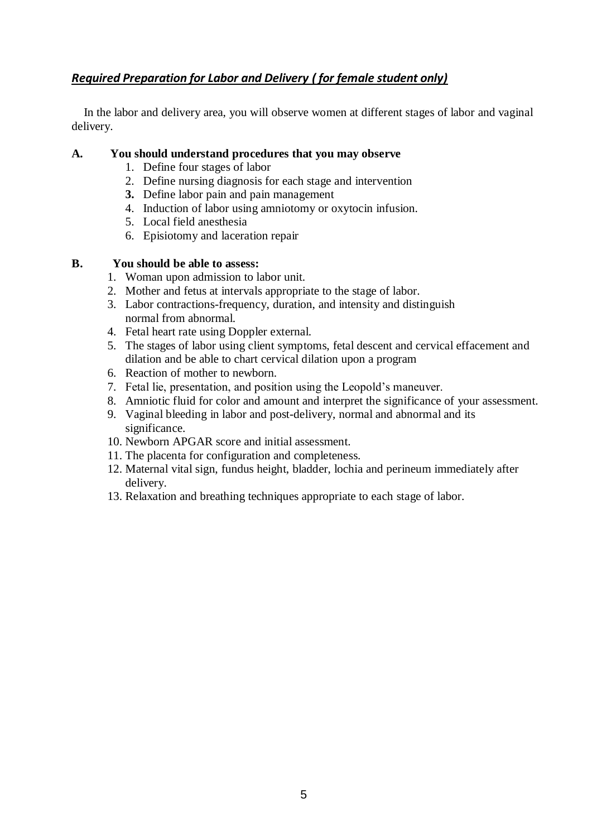## *Required Preparation for Labor and Delivery ( for female student only)*

 In the labor and delivery area, you will observe women at different stages of labor and vaginal delivery.

### **A. You should understand procedures that you may observe**

- 1. Define four stages of labor
- 2. Define nursing diagnosis for each stage and intervention
- **3.** Define labor pain and pain management
- 4. Induction of labor using amniotomy or oxytocin infusion.
- 5. Local field anesthesia
- 6. Episiotomy and laceration repair

### **B. You should be able to assess:**

- 1. Woman upon admission to labor unit.
- 2. Mother and fetus at intervals appropriate to the stage of labor.
- 3. Labor contractions-frequency, duration, and intensity and distinguish normal from abnormal.
- 4. Fetal heart rate using Doppler external.
- 5. The stages of labor using client symptoms, fetal descent and cervical effacement and dilation and be able to chart cervical dilation upon a program
- 6. Reaction of mother to newborn.
- 7. Fetal lie, presentation, and position using the Leopold's maneuver.
- 8. Amniotic fluid for color and amount and interpret the significance of your assessment.
- 9. Vaginal bleeding in labor and post-delivery, normal and abnormal and its significance.
- 10. Newborn APGAR score and initial assessment.
- 11. The placenta for configuration and completeness.
- 12. Maternal vital sign, fundus height, bladder, lochia and perineum immediately after delivery.
- 13. Relaxation and breathing techniques appropriate to each stage of labor.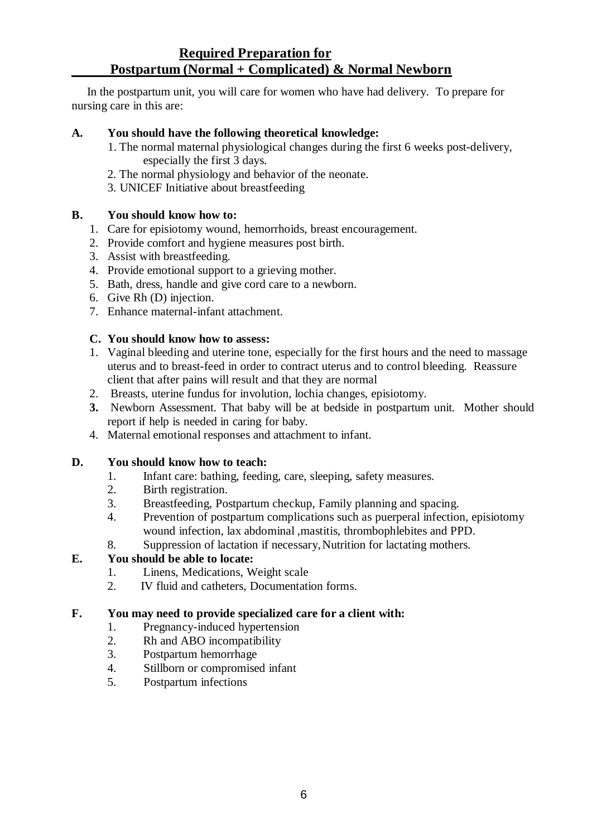## **Required Preparation for Postpartum (Normal + Complicated) & Normal Newborn**

 In the postpartum unit, you will care for women who have had delivery. To prepare for nursing care in this are:

### **A. You should have the following theoretical knowledge:**

- 1. The normal maternal physiological changes during the first 6 weeks post-delivery, especially the first 3 days.
- 2. The normal physiology and behavior of the neonate.
- 3. UNICEF Initiative about breastfeeding

## **B. You should know how to:**

- 1. Care for episiotomy wound, hemorrhoids, breast encouragement.
- 2. Provide comfort and hygiene measures post birth.
- 3. Assist with breastfeeding.
- 4. Provide emotional support to a grieving mother.
- 5. Bath, dress, handle and give cord care to a newborn.
- 6. Give Rh (D) injection.
- 7. Enhance maternal-infant attachment.

### **C. You should know how to assess:**

- 1. Vaginal bleeding and uterine tone, especially for the first hours and the need to massage uterus and to breast-feed in order to contract uterus and to control bleeding. Reassure client that after pains will result and that they are normal
- 2. Breasts, uterine fundus for involution, lochia changes, episiotomy.
- **3.** Newborn Assessment. That baby will be at bedside in postpartum unit. Mother should report if help is needed in caring for baby.
- 4. Maternal emotional responses and attachment to infant.

### **D. You should know how to teach:**

- 1. Infant care: bathing, feeding, care, sleeping, safety measures.
- 2. Birth registration.
- 3. Breastfeeding, Postpartum checkup, Family planning and spacing.
- 4. Prevention of postpartum complications such as puerperal infection, episiotomy wound infection, lax abdominal ,mastitis, thrombophlebites and PPD.
- 8. Suppression of lactation if necessary,Nutrition for lactating mothers.

## **E. You should be able to locate:**

- 1. Linens, Medications, Weight scale
- 2. IV fluid and catheters, Documentation forms.

### **F. You may need to provide specialized care for a client with:**

- 1. Pregnancy-induced hypertension
- 2. Rh and ABO incompatibility
- 3. Postpartum hemorrhage
- 4. Stillborn or compromised infant
- 5. Postpartum infections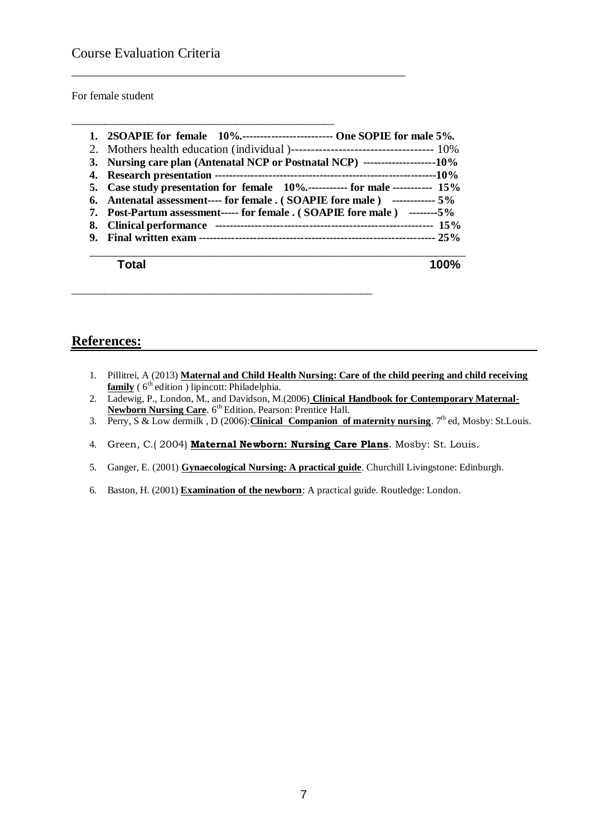For female student

| 1. 2SOAPIE for female 10% One SOPIE for male 5%.                               |
|--------------------------------------------------------------------------------|
|                                                                                |
|                                                                                |
|                                                                                |
| 5. Case study presentation for female 10%------------ for male ----------- 15% |
| 6. Antenatal assessment---- for female . (SOAPIE fore male) ------------- 5%   |
| 7. Post-Partum assessment----- for female . (SOAPIE fore male) --------5%      |
|                                                                                |
|                                                                                |
|                                                                                |
|                                                                                |

\_\_\_\_\_\_\_\_\_\_\_\_\_\_\_\_\_\_\_\_\_\_\_\_\_\_\_\_\_\_\_\_\_\_\_\_\_\_\_\_\_\_\_\_\_\_\_\_\_\_\_\_\_\_\_\_

\_\_\_\_\_\_\_\_\_\_\_\_\_\_\_\_\_\_\_\_\_\_\_\_\_\_\_\_\_\_\_\_\_\_\_\_\_\_\_\_\_\_\_\_\_\_\_\_

\_\_\_\_\_\_\_\_\_\_\_\_\_\_\_\_\_\_\_\_\_\_\_\_\_\_\_\_\_\_\_\_\_\_\_\_\_\_\_\_\_\_\_\_\_\_\_\_\_\_\_\_\_\_\_

## **References:**

- 1. Pillitrei, A (2013) **Maternal and Child Health Nursing: Care of the child peering and child receiving family** (6<sup>th</sup> edition) lipincott: Philadelphia.
- 2. Ladewig, P., London, M., and Davidson, M.(2006) **Clinical Handbook for Contemporary Maternal-Newborn Nursing Care.** 6<sup>th</sup> Edition. Pearson: Prentice Hall.
- 3. Perry, S & Low dermilk, D (2006): Clinical Companion of maternity nursing. 7<sup>th</sup> ed, Mosby: St.Louis.
- 4. Green, C.( 2004) **Maternal Newborn: Nursing Care Plans**. Mosby: St. Louis.
- 5. Ganger, E. (2001) **Gynaecological Nursing: A practical guide**. Churchill Livingstone: Edinburgh.
- 6. Baston, H. (2001) **Examination of the newborn**: A practical guide. Routledge: London.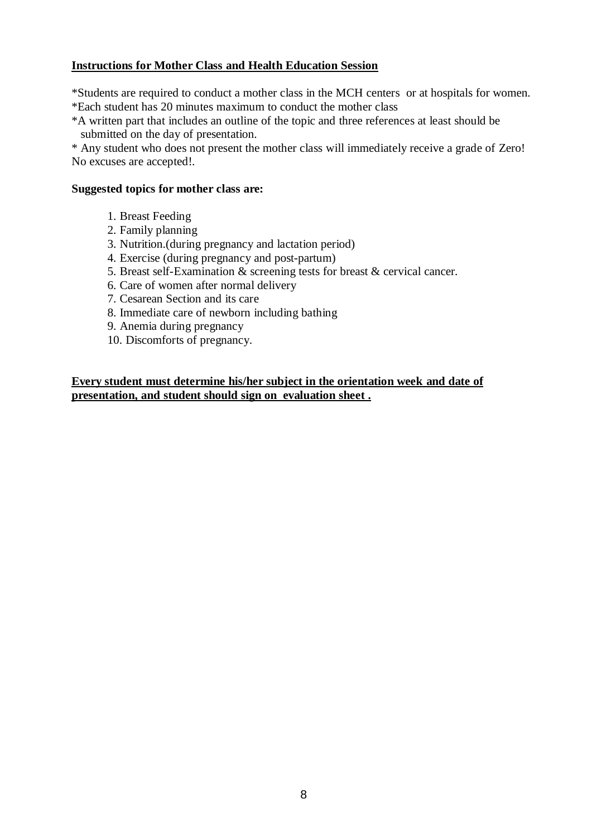## **Instructions for Mother Class and Health Education Session**

\*Students are required to conduct a mother class in the MCH centers or at hospitals for women. \*Each student has 20 minutes maximum to conduct the mother class

\*A written part that includes an outline of the topic and three references at least should be submitted on the day of presentation.

\* Any student who does not present the mother class will immediately receive a grade of Zero! No excuses are accepted!.

### **Suggested topics for mother class are:**

- 1. Breast Feeding
- 2. Family planning
- 3. Nutrition.(during pregnancy and lactation period)
- 4. Exercise (during pregnancy and post-partum)
- 5. Breast self-Examination & screening tests for breast & cervical cancer.
- 6. Care of women after normal delivery
- 7. Cesarean Section and its care
- 8. Immediate care of newborn including bathing
- 9. Anemia during pregnancy
- 10. Discomforts of pregnancy.

**Every student must determine his/her subject in the orientation week and date of presentation, and student should sign on evaluation sheet .**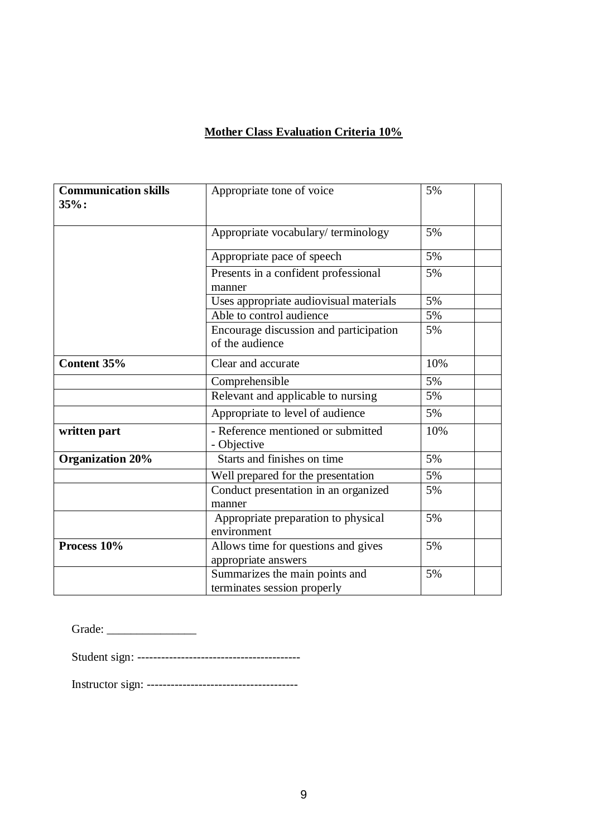## **Mother Class Evaluation Criteria 10%**

| <b>Communication skills</b><br>$35%$ : | Appropriate tone of voice                                     | 5%  |
|----------------------------------------|---------------------------------------------------------------|-----|
|                                        | Appropriate vocabulary/terminology                            | 5%  |
|                                        | Appropriate pace of speech                                    | 5%  |
|                                        | Presents in a confident professional<br>manner                | 5%  |
|                                        | Uses appropriate audiovisual materials                        | 5%  |
|                                        | Able to control audience                                      | 5%  |
|                                        | Encourage discussion and participation<br>of the audience     | 5%  |
| Content 35%                            | Clear and accurate                                            | 10% |
|                                        | Comprehensible                                                | 5%  |
|                                        | Relevant and applicable to nursing                            | 5%  |
|                                        | Appropriate to level of audience                              | 5%  |
| written part                           | - Reference mentioned or submitted<br>- Objective             | 10% |
| <b>Organization 20%</b>                | Starts and finishes on time                                   | 5%  |
|                                        | Well prepared for the presentation                            | 5%  |
|                                        | Conduct presentation in an organized<br>manner                | 5%  |
|                                        | Appropriate preparation to physical<br>environment            | 5%  |
| Process 10%                            | Allows time for questions and gives<br>appropriate answers    | 5%  |
|                                        | Summarizes the main points and<br>terminates session properly | 5%  |

| Grade: |
|--------|
|--------|

Student sign: -----------------------------------------

Instructor sign: --------------------------------------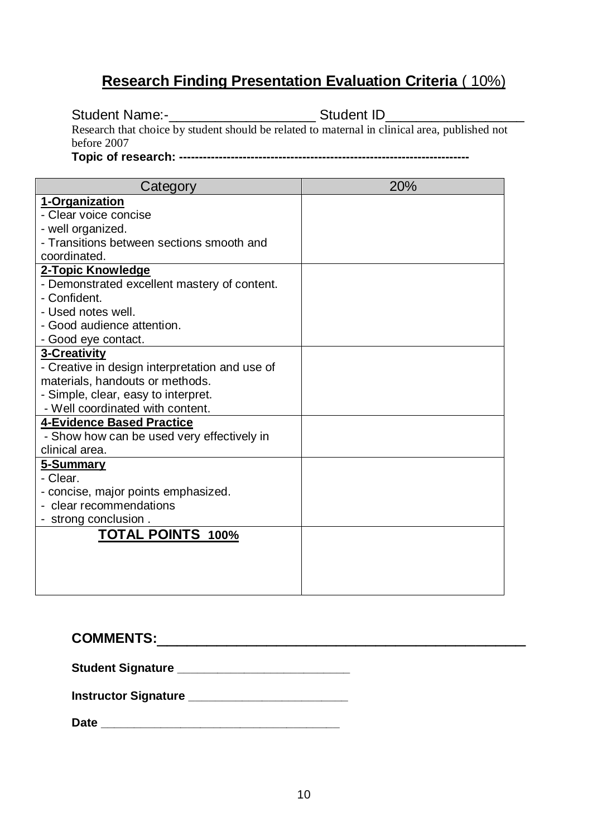## **Research Finding Presentation Evaluation Criteria** ( 10%)

Student Name:-\_\_\_\_\_\_\_\_\_\_\_\_\_\_\_\_\_\_\_\_\_\_\_\_\_Student ID\_\_\_\_\_\_\_\_\_\_\_\_\_\_\_\_\_\_\_\_\_\_\_\_\_\_\_\_\_\_\_

Research that choice by student should be related to maternal in clinical area, published not before 2007

**Topic of research: -------------------------------------------------------------------------**

| Category                                                     | 20% |
|--------------------------------------------------------------|-----|
| 1-Organization                                               |     |
| - Clear voice concise                                        |     |
| - well organized.                                            |     |
| - Transitions between sections smooth and                    |     |
| coordinated.                                                 |     |
| 2-Topic Knowledge                                            |     |
| - Demonstrated excellent mastery of content.                 |     |
| - Confident.                                                 |     |
| - Used notes well.                                           |     |
| - Good audience attention.                                   |     |
| - Good eye contact.                                          |     |
| 3-Creativity                                                 |     |
| - Creative in design interpretation and use of               |     |
| materials, handouts or methods.                              |     |
| - Simple, clear, easy to interpret.                          |     |
| - Well coordinated with content.                             |     |
| <b>4-Evidence Based Practice</b>                             |     |
| - Show how can be used very effectively in<br>clinical area. |     |
|                                                              |     |
| <u>5-Summary</u><br>- Clear.                                 |     |
| - concise, major points emphasized.                          |     |
| - clear recommendations                                      |     |
| - strong conclusion.                                         |     |
| <b>TOTAL POINTS 100%</b>                                     |     |
|                                                              |     |
|                                                              |     |
|                                                              |     |
|                                                              |     |

**COMMENTS:**\_\_\_\_\_\_\_\_\_\_\_\_\_\_\_\_\_\_\_\_\_\_\_\_\_\_\_\_\_\_\_\_\_\_\_\_\_

Student Signature **Lating Student Signature** 

**Instructor Signature \_\_\_\_\_\_\_\_\_\_\_\_\_\_\_\_\_\_\_\_\_\_\_\_**

**Date \_\_\_\_\_\_\_\_\_\_\_\_\_\_\_\_\_\_\_\_\_\_\_\_\_\_\_\_\_\_\_\_\_\_\_\_**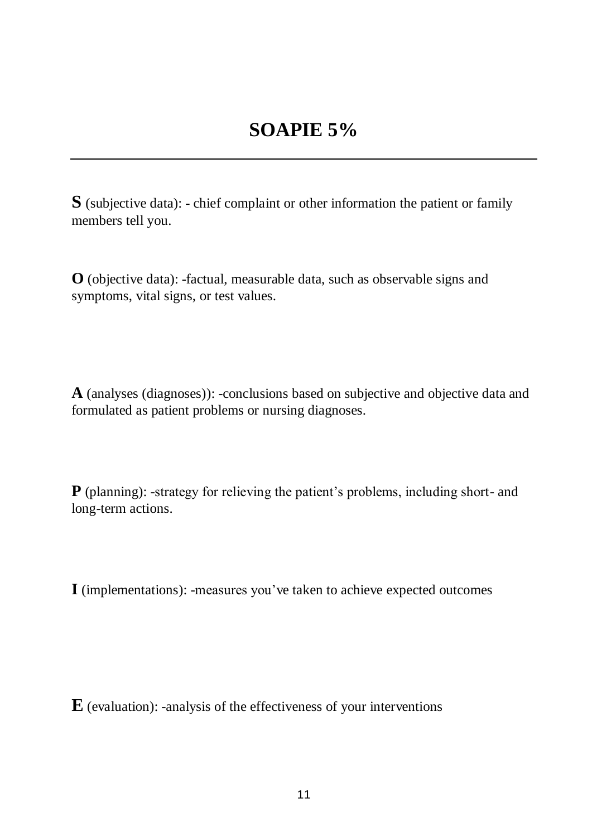**S** (subjective data): - chief complaint or other information the patient or family members tell you.

**O** (objective data): -factual, measurable data, such as observable signs and symptoms, vital signs, or test values.

**A** (analyses (diagnoses)): -conclusions based on subjective and objective data and formulated as patient problems or nursing diagnoses.

**P** (planning): -strategy for relieving the patient's problems, including short- and long-term actions.

**I** (implementations): -measures you've taken to achieve expected outcomes

**E** (evaluation): -analysis of the effectiveness of your interventions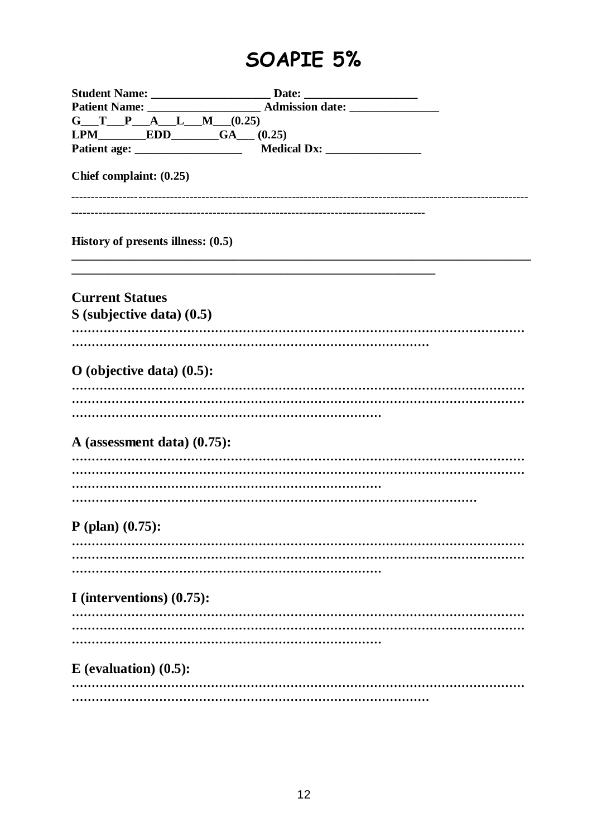## SOAPIE 5%

| $G_T P_A L_M (0.25)$                                    |                         |
|---------------------------------------------------------|-------------------------|
|                                                         | LPM EDD GA $(A)$ (0.25) |
|                                                         |                         |
| Chief complaint: (0.25)                                 |                         |
| History of presents illness: $(0.5)$                    |                         |
| <b>Current Statues</b><br>$S$ (subjective data) $(0.5)$ |                         |
| O (objective data) $(0.5)$ :                            |                         |
| A (assessment data) (0.75):                             |                         |
| $P$ (plan) $(0.75)$ :                                   |                         |
| I (interventions) $(0.75)$ :                            |                         |
| $E$ (evaluation) $(0.5)$ :                              |                         |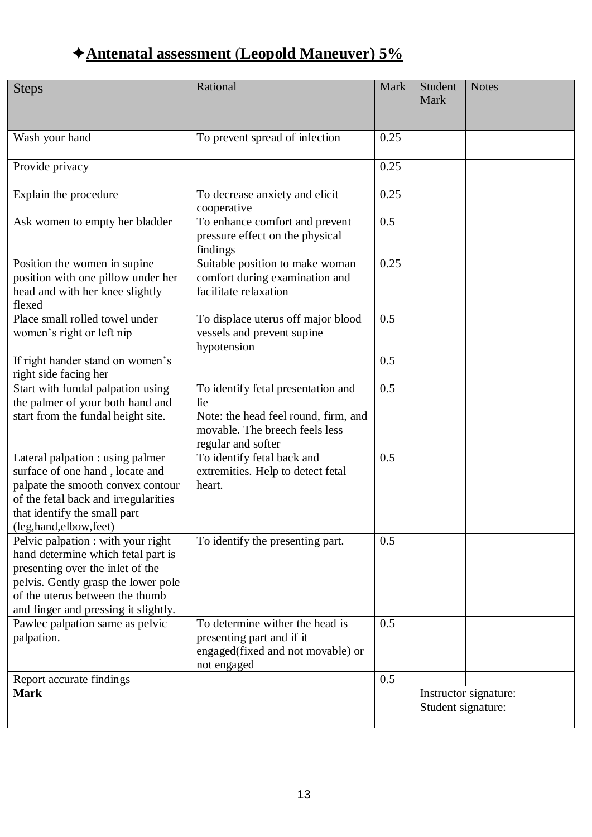## **Antenatal assessment** (**Leopold Maneuver) 5%**

| <b>Steps</b>                                                                                                                                                                                                                   | Rational                                                                                                                                  | Mark | Student<br>Mark    | <b>Notes</b>          |
|--------------------------------------------------------------------------------------------------------------------------------------------------------------------------------------------------------------------------------|-------------------------------------------------------------------------------------------------------------------------------------------|------|--------------------|-----------------------|
| Wash your hand                                                                                                                                                                                                                 | To prevent spread of infection                                                                                                            | 0.25 |                    |                       |
| Provide privacy                                                                                                                                                                                                                |                                                                                                                                           | 0.25 |                    |                       |
| Explain the procedure                                                                                                                                                                                                          | To decrease anxiety and elicit<br>cooperative                                                                                             | 0.25 |                    |                       |
| Ask women to empty her bladder                                                                                                                                                                                                 | To enhance comfort and prevent<br>pressure effect on the physical<br>findings                                                             | 0.5  |                    |                       |
| Position the women in supine<br>position with one pillow under her<br>head and with her knee slightly<br>flexed                                                                                                                | Suitable position to make woman<br>comfort during examination and<br>facilitate relaxation                                                | 0.25 |                    |                       |
| Place small rolled towel under<br>women's right or left nip                                                                                                                                                                    | To displace uterus off major blood<br>vessels and prevent supine<br>hypotension                                                           | 0.5  |                    |                       |
| If right hander stand on women's<br>right side facing her                                                                                                                                                                      |                                                                                                                                           | 0.5  |                    |                       |
| Start with fundal palpation using<br>the palmer of your both hand and<br>start from the fundal height site.                                                                                                                    | To identify fetal presentation and<br>lie<br>Note: the head feel round, firm, and<br>movable. The breech feels less<br>regular and softer | 0.5  |                    |                       |
| Lateral palpation : using palmer<br>surface of one hand, locate and<br>palpate the smooth convex contour<br>of the fetal back and irregularities<br>that identify the small part<br>(leg,hand,elbow,feet)                      | To identify fetal back and<br>extremities. Help to detect fetal<br>heart.                                                                 | 0.5  |                    |                       |
| Pelvic palpation : with your right<br>hand determine which fetal part is<br>presenting over the inlet of the<br>pelvis. Gently grasp the lower pole<br>of the uterus between the thumb<br>and finger and pressing it slightly. | To identify the presenting part.                                                                                                          | 0.5  |                    |                       |
| Pawlec palpation same as pelvic<br>palpation.                                                                                                                                                                                  | To determine wither the head is<br>presenting part and if it<br>engaged(fixed and not movable) or<br>not engaged                          | 0.5  |                    |                       |
| Report accurate findings                                                                                                                                                                                                       |                                                                                                                                           | 0.5  |                    |                       |
| <b>Mark</b>                                                                                                                                                                                                                    |                                                                                                                                           |      | Student signature: | Instructor signature: |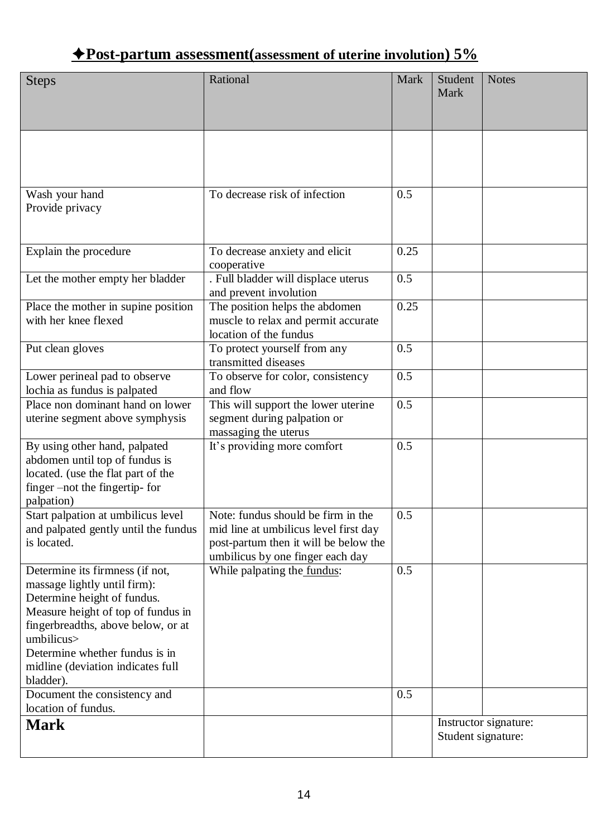## **Post-partum assessment(assessment of uterine involution) 5%**

| <b>Steps</b>                                                                                                                                                                                                                                                                 | Rational                                                                                                                                                 | Mark | Student<br>Mark | <b>Notes</b>                                |
|------------------------------------------------------------------------------------------------------------------------------------------------------------------------------------------------------------------------------------------------------------------------------|----------------------------------------------------------------------------------------------------------------------------------------------------------|------|-----------------|---------------------------------------------|
|                                                                                                                                                                                                                                                                              |                                                                                                                                                          |      |                 |                                             |
| Wash your hand<br>Provide privacy                                                                                                                                                                                                                                            | To decrease risk of infection                                                                                                                            | 0.5  |                 |                                             |
| Explain the procedure                                                                                                                                                                                                                                                        | To decrease anxiety and elicit<br>cooperative                                                                                                            | 0.25 |                 |                                             |
| Let the mother empty her bladder                                                                                                                                                                                                                                             | . Full bladder will displace uterus<br>and prevent involution                                                                                            | 0.5  |                 |                                             |
| Place the mother in supine position<br>with her knee flexed                                                                                                                                                                                                                  | The position helps the abdomen<br>muscle to relax and permit accurate<br>location of the fundus                                                          | 0.25 |                 |                                             |
| Put clean gloves                                                                                                                                                                                                                                                             | To protect yourself from any<br>transmitted diseases                                                                                                     | 0.5  |                 |                                             |
| Lower perineal pad to observe<br>lochia as fundus is palpated                                                                                                                                                                                                                | To observe for color, consistency<br>and flow                                                                                                            | 0.5  |                 |                                             |
| Place non dominant hand on lower<br>uterine segment above symphysis                                                                                                                                                                                                          | This will support the lower uterine<br>segment during palpation or<br>massaging the uterus                                                               | 0.5  |                 |                                             |
| By using other hand, palpated<br>abdomen until top of fundus is<br>located. (use the flat part of the<br>finger –not the fingertip- for<br>palpation)                                                                                                                        | It's providing more comfort                                                                                                                              | 0.5  |                 |                                             |
| Start palpation at umbilicus level<br>and palpated gently until the fundus<br>is located.                                                                                                                                                                                    | Note: fundus should be firm in the<br>mid line at umbilicus level first day<br>post-partum then it will be below the<br>umbilicus by one finger each day | 0.5  |                 |                                             |
| Determine its firmness (if not,<br>massage lightly until firm):<br>Determine height of fundus.<br>Measure height of top of fundus in<br>fingerbreadths, above below, or at<br>umbilicus><br>Determine whether fundus is in<br>midline (deviation indicates full<br>bladder). | While palpating the fundus:                                                                                                                              | 0.5  |                 |                                             |
| Document the consistency and<br>location of fundus.                                                                                                                                                                                                                          |                                                                                                                                                          | 0.5  |                 |                                             |
| <b>Mark</b>                                                                                                                                                                                                                                                                  |                                                                                                                                                          |      |                 | Instructor signature:<br>Student signature: |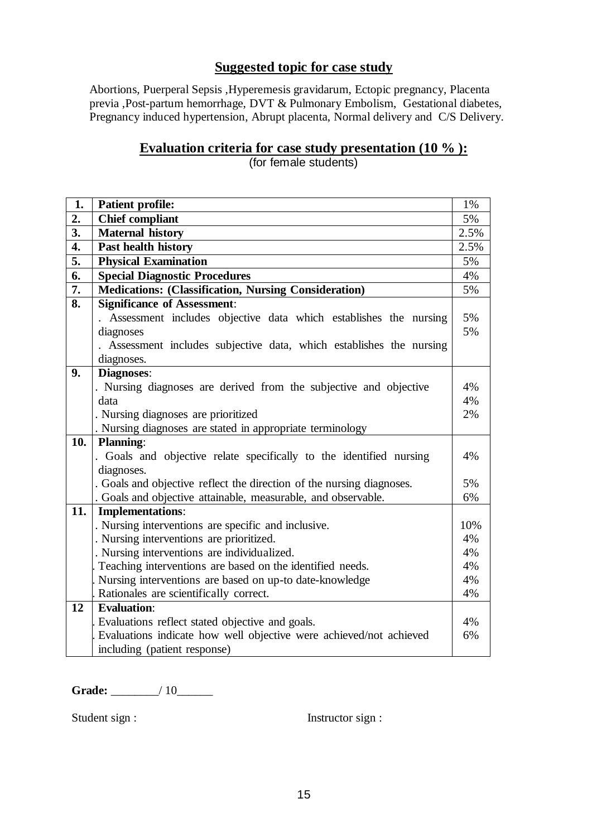## **Suggested topic for case study**

Abortions, Puerperal Sepsis ,Hyperemesis gravidarum, Ectopic pregnancy, Placenta previa ,Post-partum hemorrhage, DVT & Pulmonary Embolism, Gestational diabetes, Pregnancy induced hypertension, Abrupt placenta, Normal delivery and C/S Delivery.

## **Evaluation criteria for case study presentation (10 % ):**

(for female students)

| 1.  | <b>Patient profile:</b>                                               | 1%   |
|-----|-----------------------------------------------------------------------|------|
| 2.  | <b>Chief compliant</b>                                                | 5%   |
| 3.  | <b>Maternal history</b>                                               | 2.5% |
| 4.  | Past health history                                                   | 2.5% |
| 5.  | <b>Physical Examination</b>                                           | 5%   |
| 6.  | <b>Special Diagnostic Procedures</b>                                  | 4%   |
| 7.  | <b>Medications: (Classification, Nursing Consideration)</b>           | 5%   |
| 8.  | <b>Significance of Assessment:</b>                                    |      |
|     | Assessment includes objective data which establishes the nursing      | 5%   |
|     | diagnoses                                                             | 5%   |
|     | . Assessment includes subjective data, which establishes the nursing  |      |
|     | diagnoses.                                                            |      |
| 9.  | <b>Diagnoses:</b>                                                     |      |
|     | . Nursing diagnoses are derived from the subjective and objective     | 4%   |
|     | data                                                                  | 4%   |
|     | . Nursing diagnoses are prioritized                                   | 2%   |
|     | . Nursing diagnoses are stated in appropriate terminology             |      |
| 10. | Planning:                                                             |      |
|     | . Goals and objective relate specifically to the identified nursing   | 4%   |
|     | diagnoses.                                                            |      |
|     | . Goals and objective reflect the direction of the nursing diagnoses. | 5%   |
|     | . Goals and objective attainable, measurable, and observable.         | 6%   |
| 11. | <b>Implementations:</b>                                               |      |
|     | . Nursing interventions are specific and inclusive.                   | 10%  |
|     | . Nursing interventions are prioritized.                              | 4%   |
|     | . Nursing interventions are individualized.                           | 4%   |
|     | Teaching interventions are based on the identified needs.             | 4%   |
|     | Nursing interventions are based on up-to date-knowledge               | 4%   |
|     | Rationales are scientifically correct.                                | 4%   |
| 12  | <b>Evaluation:</b>                                                    |      |
|     | Evaluations reflect stated objective and goals.                       | 4%   |
|     | Evaluations indicate how well objective were achieved/not achieved    | 6%   |
|     | including (patient response)                                          |      |

Grade:  $\qquad \qquad$  / 10

Student sign : Instructor sign :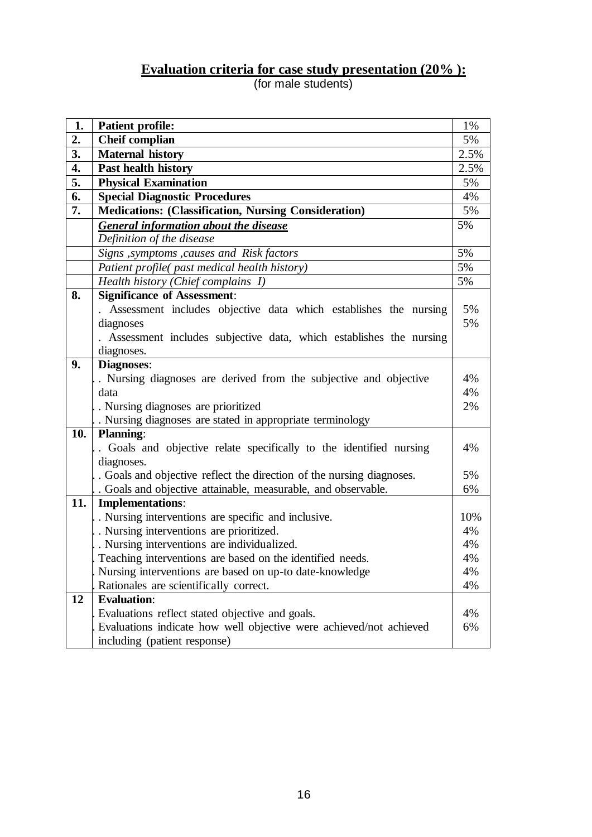## **Evaluation criteria for case study presentation (20% ):**

(for male students)

| 1.  | <b>Patient profile:</b>                                              | 1%   |
|-----|----------------------------------------------------------------------|------|
| 2.  | <b>Cheif complian</b>                                                | 5%   |
| 3.  | <b>Maternal history</b>                                              | 2.5% |
| 4.  | Past health history                                                  | 2.5% |
| 5.  | <b>Physical Examination</b>                                          | 5%   |
| 6.  | <b>Special Diagnostic Procedures</b>                                 | 4%   |
| 7.  | Medications: (Classification, Nursing Consideration)                 | 5%   |
|     | <b>General information about the disease</b>                         | 5%   |
|     | Definition of the disease                                            |      |
|     | Signs , symptoms , causes and Risk factors                           | 5%   |
|     | Patient profile(past medical health history)                         | 5%   |
|     | Health history (Chief complains 1)                                   | 5%   |
| 8.  | <b>Significance of Assessment:</b>                                   |      |
|     | Assessment includes objective data which establishes the nursing     | 5%   |
|     | diagnoses                                                            | 5%   |
|     | . Assessment includes subjective data, which establishes the nursing |      |
|     | diagnoses.                                                           |      |
| 9.  | <b>Diagnoses:</b>                                                    |      |
|     | . Nursing diagnoses are derived from the subjective and objective    | 4%   |
|     | data                                                                 | 4%   |
|     | Nursing diagnoses are prioritized                                    | 2%   |
|     | . Nursing diagnoses are stated in appropriate terminology            |      |
| 10. | <b>Planning:</b>                                                     |      |
|     | Goals and objective relate specifically to the identified nursing    | 4%   |
|     | diagnoses.                                                           |      |
|     | Goals and objective reflect the direction of the nursing diagnoses.  | 5%   |
|     | . Goals and objective attainable, measurable, and observable.        | 6%   |
| 11. | <b>Implementations:</b>                                              |      |
|     | Nursing interventions are specific and inclusive.                    | 10%  |
|     | Nursing interventions are prioritized.                               | 4%   |
|     | . Nursing interventions are individualized.                          | 4%   |
|     | Teaching interventions are based on the identified needs.            | 4%   |
|     | Nursing interventions are based on up-to date-knowledge              | 4%   |
|     | Rationales are scientifically correct.                               | 4%   |
| 12  | <b>Evaluation:</b>                                                   |      |
|     | Evaluations reflect stated objective and goals.                      | 4%   |
|     | Evaluations indicate how well objective were achieved/not achieved   | 6%   |
|     | including (patient response)                                         |      |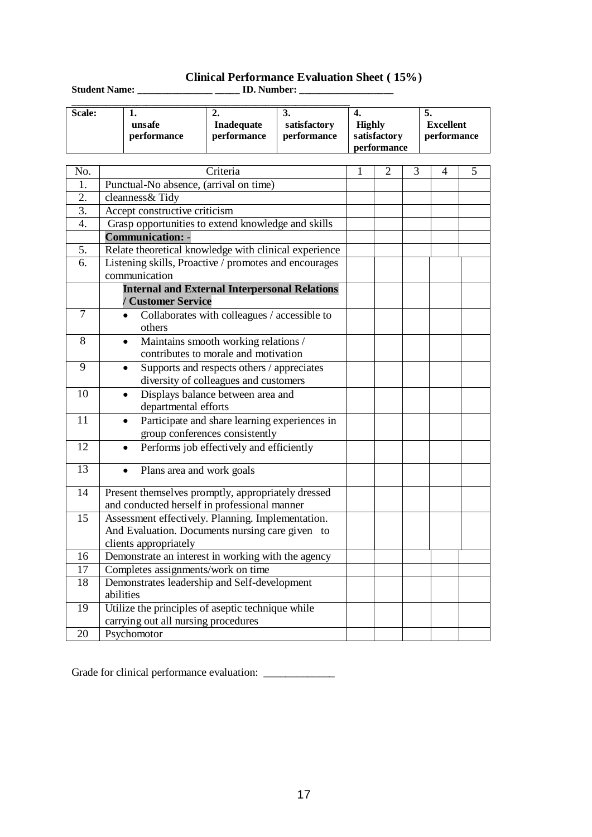### **Clinical Performance Evaluation Sheet ( 15%)**

| <b>Student Name:</b> |                       | <b>ID.</b> Number:               |                                  |                                       |                                |
|----------------------|-----------------------|----------------------------------|----------------------------------|---------------------------------------|--------------------------------|
| Scale:               | unsafe<br>performance | <b>Inadequate</b><br>performance | .<br>satisfactory<br>performance | Highly<br>satisfactory<br>performance | J.<br>Excellent<br>performance |

|                  |                                                           | periormance                                                                | periormance                                                                         | performance | sausractory<br>performance |   |   | periormance |   |
|------------------|-----------------------------------------------------------|----------------------------------------------------------------------------|-------------------------------------------------------------------------------------|-------------|----------------------------|---|---|-------------|---|
|                  |                                                           |                                                                            |                                                                                     |             |                            |   |   |             |   |
| No.              | Criteria                                                  |                                                                            |                                                                                     |             | I.                         | 2 | 3 | 4           | 5 |
| 1.               |                                                           | Punctual-No absence, (arrival on time)                                     |                                                                                     |             |                            |   |   |             |   |
| 2.               |                                                           | cleanness& Tidy                                                            |                                                                                     |             |                            |   |   |             |   |
| 3.               |                                                           | Accept constructive criticism                                              |                                                                                     |             |                            |   |   |             |   |
| $\overline{4}$ . |                                                           | Grasp opportunities to extend knowledge and skills                         |                                                                                     |             |                            |   |   |             |   |
|                  |                                                           | <b>Communication: -</b>                                                    |                                                                                     |             |                            |   |   |             |   |
| $\overline{5}$ . |                                                           | Relate theoretical knowledge with clinical experience                      |                                                                                     |             |                            |   |   |             |   |
| 6.               |                                                           | Listening skills, Proactive / promotes and encourages                      |                                                                                     |             |                            |   |   |             |   |
|                  |                                                           | communication                                                              |                                                                                     |             |                            |   |   |             |   |
|                  |                                                           | <b>Internal and External Interpersonal Relations</b><br>/ Customer Service |                                                                                     |             |                            |   |   |             |   |
| $\overline{7}$   |                                                           | others                                                                     | Collaborates with colleagues / accessible to                                        |             |                            |   |   |             |   |
| 8                |                                                           | $\bullet$                                                                  | Maintains smooth working relations /<br>contributes to morale and motivation        |             |                            |   |   |             |   |
| $\overline{9}$   |                                                           |                                                                            | Supports and respects others / appreciates<br>diversity of colleagues and customers |             |                            |   |   |             |   |
| 10               |                                                           | departmental efforts                                                       | Displays balance between area and                                                   |             |                            |   |   |             |   |
| $\overline{11}$  |                                                           |                                                                            | Participate and share learning experiences in<br>group conferences consistently     |             |                            |   |   |             |   |
| 12               |                                                           |                                                                            | Performs job effectively and efficiently                                            |             |                            |   |   |             |   |
| $\overline{13}$  |                                                           | Plans area and work goals<br>$\bullet$                                     |                                                                                     |             |                            |   |   |             |   |
| 14               |                                                           | Present themselves promptly, appropriately dressed                         |                                                                                     |             |                            |   |   |             |   |
|                  |                                                           | and conducted herself in professional manner                               |                                                                                     |             |                            |   |   |             |   |
| 15               |                                                           | Assessment effectively. Planning. Implementation.                          |                                                                                     |             |                            |   |   |             |   |
|                  |                                                           | And Evaluation. Documents nursing care given to                            |                                                                                     |             |                            |   |   |             |   |
|                  | clients appropriately                                     |                                                                            |                                                                                     |             |                            |   |   |             |   |
| 16               | Demonstrate an interest in working with the agency        |                                                                            |                                                                                     |             |                            |   |   |             |   |
| 17               | Completes assignments/work on time                        |                                                                            |                                                                                     |             |                            |   |   |             |   |
| 18               | Demonstrates leadership and Self-development<br>abilities |                                                                            |                                                                                     |             |                            |   |   |             |   |
|                  |                                                           |                                                                            |                                                                                     |             |                            |   |   |             |   |
| 19               |                                                           | Utilize the principles of aseptic technique while                          |                                                                                     |             |                            |   |   |             |   |
| $\overline{20}$  |                                                           | carrying out all nursing procedures                                        |                                                                                     |             |                            |   |   |             |   |
|                  | Psychomotor                                               |                                                                            |                                                                                     |             |                            |   |   |             |   |

Grade for clinical performance evaluation: \_\_\_\_\_\_\_\_\_\_\_\_\_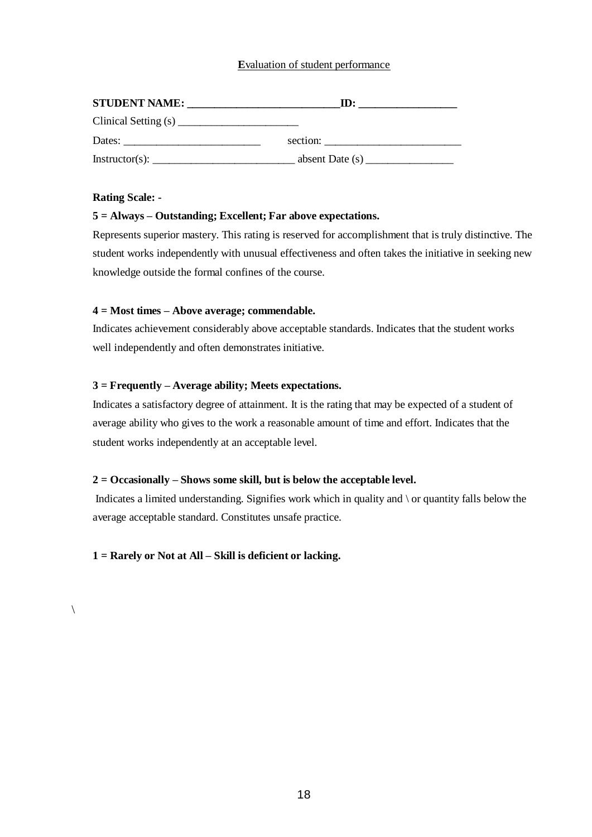### **E**valuation of student performance

| <b>STUDENT NAME:</b>                                      | ID:      |
|-----------------------------------------------------------|----------|
|                                                           |          |
| Dates: $\frac{1}{\sqrt{1-\frac{1}{2}} \cdot \frac{1}{2}}$ | section: |
|                                                           |          |

#### **Rating Scale: -**

 $\setminus$ 

#### **5 = Always – Outstanding; Excellent; Far above expectations.**

Represents superior mastery. This rating is reserved for accomplishment that is truly distinctive. The student works independently with unusual effectiveness and often takes the initiative in seeking new knowledge outside the formal confines of the course.

#### **4 = Most times – Above average; commendable.**

Indicates achievement considerably above acceptable standards. Indicates that the student works well independently and often demonstrates initiative.

#### **3 = Frequently – Average ability; Meets expectations.**

Indicates a satisfactory degree of attainment. It is the rating that may be expected of a student of average ability who gives to the work a reasonable amount of time and effort. Indicates that the student works independently at an acceptable level.

#### **2 = Occasionally – Shows some skill, but is below the acceptable level.**

Indicates a limited understanding. Signifies work which in quality and \ or quantity falls below the average acceptable standard. Constitutes unsafe practice.

#### **1 = Rarely or Not at All – Skill is deficient or lacking.**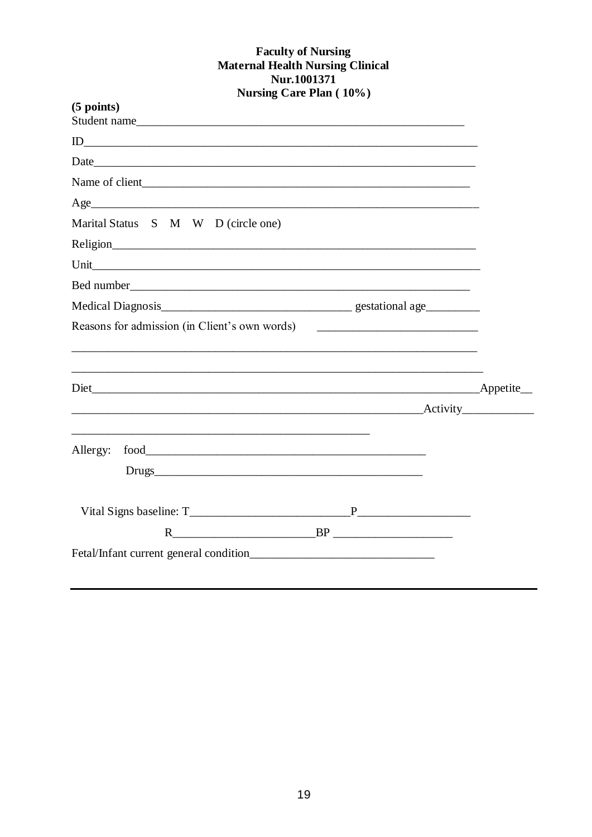## Faculty of Nursing<br>Maternal Health Nursing Clinical Nur.1001371 **Nursing Care Plan (10%)**

| $(5$ points)<br>Student name                  |        |  |
|-----------------------------------------------|--------|--|
|                                               |        |  |
|                                               |        |  |
|                                               |        |  |
|                                               |        |  |
| Marital Status S M W D (circle one)           |        |  |
|                                               |        |  |
|                                               |        |  |
|                                               |        |  |
|                                               |        |  |
| Reasons for admission (in Client's own words) |        |  |
|                                               |        |  |
|                                               |        |  |
|                                               |        |  |
|                                               |        |  |
|                                               |        |  |
|                                               | $R$ BP |  |
|                                               |        |  |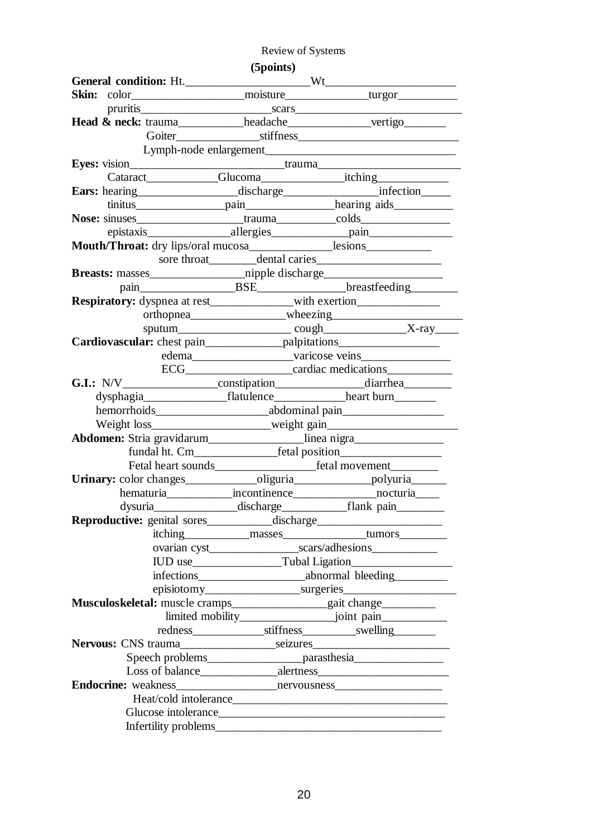## Review of Systems

|                                                                                        | (5 points) |                                                                                   |
|----------------------------------------------------------------------------------------|------------|-----------------------------------------------------------------------------------|
|                                                                                        |            |                                                                                   |
|                                                                                        |            |                                                                                   |
|                                                                                        |            |                                                                                   |
| Head & neck: trauma___________headache______________vertigo________                    |            |                                                                                   |
|                                                                                        |            |                                                                                   |
|                                                                                        |            |                                                                                   |
| Eyes: vision_________________________________trauma_____________________________       |            |                                                                                   |
|                                                                                        |            |                                                                                   |
| Ears: hearing discharge infection                                                      |            |                                                                                   |
|                                                                                        |            |                                                                                   |
| Nose: sinuses________________________trauma___________colds_____________________       |            |                                                                                   |
|                                                                                        |            |                                                                                   |
| <b>Mouth/Throat:</b> dry lips/oral mucosa_______________lesions_______________________ |            |                                                                                   |
|                                                                                        |            |                                                                                   |
|                                                                                        |            |                                                                                   |
|                                                                                        |            |                                                                                   |
| Respiratory: dyspnea at rest________________with exertion_______________________       |            |                                                                                   |
|                                                                                        |            |                                                                                   |
|                                                                                        |            |                                                                                   |
| Cardiovascular: chest pain_________________palpitations_________________________       |            |                                                                                   |
|                                                                                        |            |                                                                                   |
|                                                                                        |            | ECG________________________cardiac medications                                    |
| G.I.: N/V______________________constipation___________________diarrhea__________       |            |                                                                                   |
|                                                                                        |            | dysphagia_________________________flatulence___________________heart burn________ |
|                                                                                        |            |                                                                                   |
|                                                                                        |            | Weight loss_______________________weight gain___________________________________  |
| Abdomen: Stria gravidarum___________________linea nigra__________________________      |            |                                                                                   |
|                                                                                        |            |                                                                                   |
|                                                                                        |            |                                                                                   |
| Urinary: color changes_________________oliguria__________________polyuria_______       |            |                                                                                   |
|                                                                                        |            | hematuria_______________incontinence___________________nocturia_____              |
|                                                                                        |            | dysuria___________________discharge________________flank_pain_____________        |
| Reproductive: genital sores_____________discharge_______________________________       |            |                                                                                   |
|                                                                                        |            |                                                                                   |
|                                                                                        |            |                                                                                   |
|                                                                                        |            |                                                                                   |
|                                                                                        |            |                                                                                   |
|                                                                                        |            |                                                                                   |
| Musculoskeletal: muscle cramps_________________gait change______________________       |            |                                                                                   |
|                                                                                        |            |                                                                                   |
|                                                                                        |            |                                                                                   |
|                                                                                        |            |                                                                                   |
|                                                                                        |            | Speech problems_________________________parasthesia_____________________________  |
|                                                                                        |            |                                                                                   |
|                                                                                        |            |                                                                                   |
|                                                                                        |            |                                                                                   |
|                                                                                        |            |                                                                                   |
|                                                                                        |            |                                                                                   |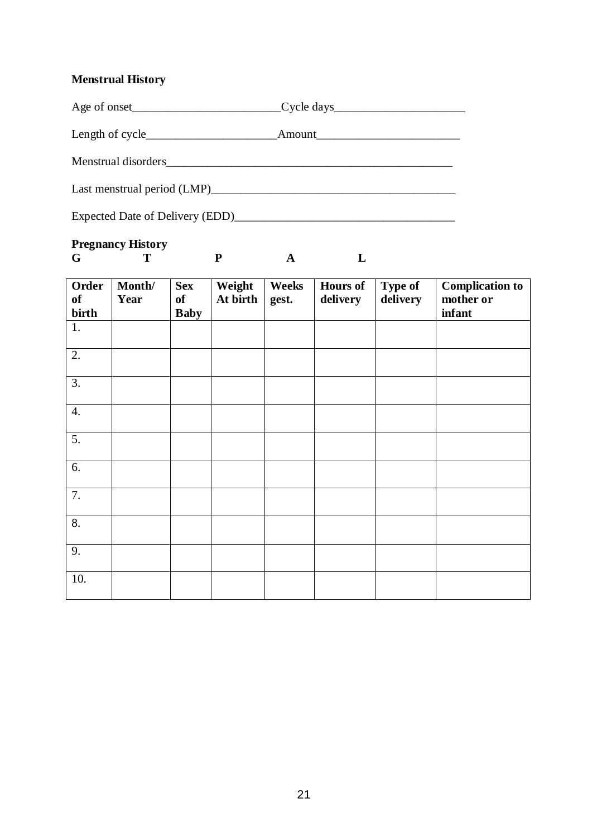## **Menstrual History**

| Age of onset                | Cycle days<br><u>Cycle days</u> |
|-----------------------------|---------------------------------|
|                             |                                 |
| Menstrual disorders         |                                 |
| Last menstrual period (LMP) |                                 |

Expected Date of Delivery (EDD)\_\_\_\_\_\_\_\_\_\_\_\_\_\_\_\_\_\_\_\_\_\_\_\_\_\_\_\_\_\_\_\_\_\_\_\_\_

## **Pregnancy History**

**G T P A L**

**Order of birth Month/ Year Sex of Baby Weight At birth Weeks gest. Hours of delivery Type of delivery Complication to mother or infant** 1. 2. 3. 4. 5. 6. 7. 8. 9. 10.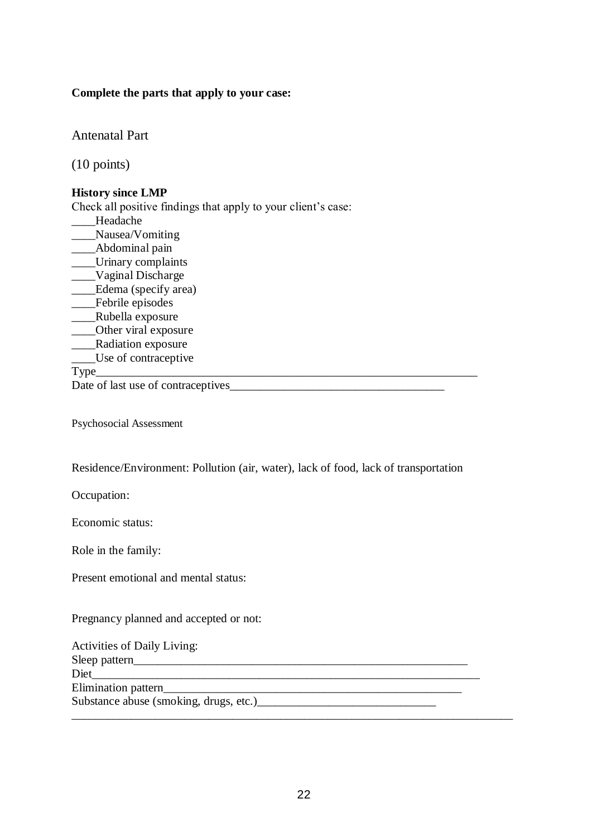### **Complete the parts that apply to your case:**

Antenatal Part

(10 points)

### **History since LMP**

Check all positive findings that apply to your client's case: \_\_\_\_Headache \_\_\_\_Nausea/Vomiting \_\_\_\_Abdominal pain \_\_\_\_Urinary complaints \_\_\_\_Vaginal Discharge \_\_\_\_Edema (specify area) \_\_\_\_Febrile episodes \_\_\_\_Rubella exposure \_\_\_\_Other viral exposure \_\_\_\_Radiation exposure \_\_\_\_Use of contraceptive Type\_\_\_\_\_\_\_\_\_\_\_\_\_\_\_\_\_\_\_\_\_\_\_\_\_\_\_\_\_\_\_\_\_\_\_\_\_\_\_\_\_\_\_\_\_\_\_\_\_\_\_\_\_\_\_\_\_\_\_\_\_\_\_\_

Date of last use of contraceptives\_

Psychosocial Assessment

Residence/Environment: Pollution (air, water), lack of food, lack of transportation

Occupation:

Economic status:

Role in the family:

Present emotional and mental status:

### Pregnancy planned and accepted or not:

| <b>Activities of Daily Living:</b> |  |
|------------------------------------|--|
|                                    |  |
|                                    |  |
| Elimination pattern                |  |
|                                    |  |
|                                    |  |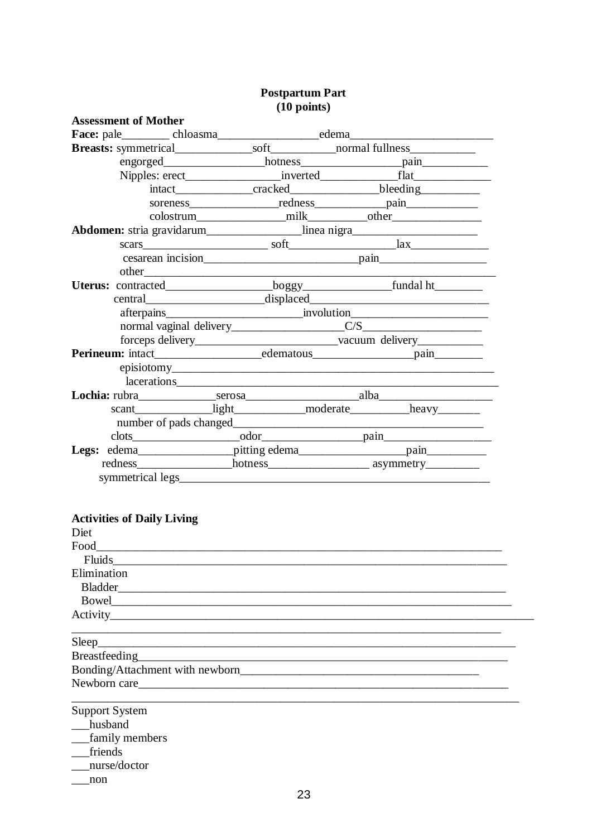|                                                                                   | $(10 \mu)$ |                                                                                  |
|-----------------------------------------------------------------------------------|------------|----------------------------------------------------------------------------------|
| <b>Assessment of Mother</b>                                                       |            |                                                                                  |
|                                                                                   |            |                                                                                  |
|                                                                                   |            |                                                                                  |
|                                                                                   |            |                                                                                  |
|                                                                                   |            |                                                                                  |
|                                                                                   |            | intact________________cracked_____________________bleeding______________________ |
|                                                                                   |            | soreness redness pain                                                            |
|                                                                                   |            |                                                                                  |
| Abdomen: stria gravidarum________________linea nigra_____________________________ |            |                                                                                  |
|                                                                                   |            |                                                                                  |
|                                                                                   |            |                                                                                  |
|                                                                                   |            |                                                                                  |
|                                                                                   |            |                                                                                  |
|                                                                                   |            |                                                                                  |
|                                                                                   |            | afterpains involution                                                            |
|                                                                                   |            |                                                                                  |
|                                                                                   |            |                                                                                  |
|                                                                                   |            |                                                                                  |
|                                                                                   |            |                                                                                  |
|                                                                                   |            |                                                                                  |
|                                                                                   |            |                                                                                  |
|                                                                                   |            | scant________________light______________moderate_____________heavy_________      |
|                                                                                   |            |                                                                                  |
|                                                                                   |            |                                                                                  |
|                                                                                   |            |                                                                                  |
|                                                                                   |            |                                                                                  |
|                                                                                   |            |                                                                                  |
|                                                                                   |            |                                                                                  |

# Postpartum Part<br>(10 points)

## **Activities of Daily Living**

| Diet                  |  |
|-----------------------|--|
| Food                  |  |
| Fluids                |  |
| Elimination           |  |
|                       |  |
|                       |  |
|                       |  |
|                       |  |
| Sleep                 |  |
|                       |  |
|                       |  |
| Newborn care          |  |
| <b>Support System</b> |  |
| husband               |  |
| family members        |  |
| friends               |  |
| nurse/doctor          |  |
| non                   |  |
| 23                    |  |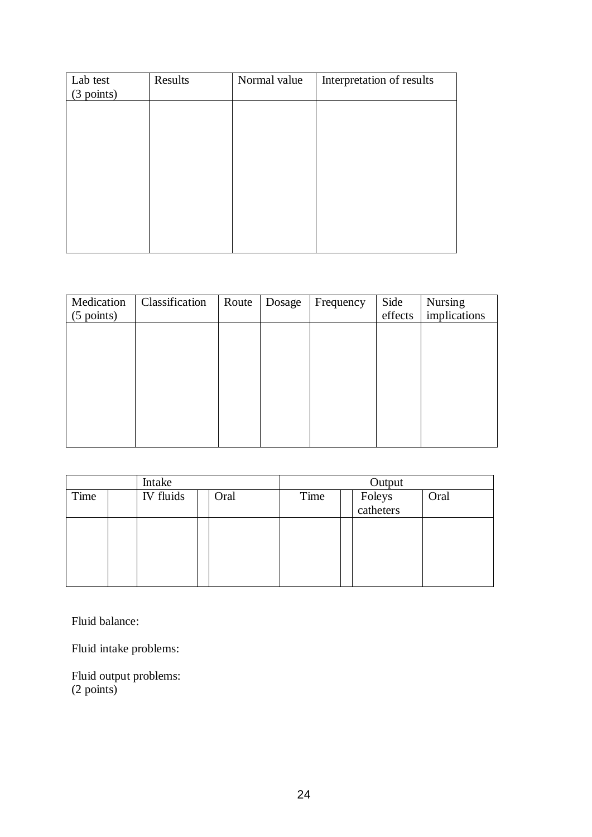| Lab test<br>(3 points) | Results | Normal value | Interpretation of results |
|------------------------|---------|--------------|---------------------------|
|                        |         |              |                           |
|                        |         |              |                           |
|                        |         |              |                           |
|                        |         |              |                           |
|                        |         |              |                           |
|                        |         |              |                           |

| Medication<br>$(5 \text{ points})$ | Classification | Route | Dosage | Frequency | Side<br>effects | Nursing<br>implications |
|------------------------------------|----------------|-------|--------|-----------|-----------------|-------------------------|
|                                    |                |       |        |           |                 |                         |
|                                    |                |       |        |           |                 |                         |
|                                    |                |       |        |           |                 |                         |
|                                    |                |       |        |           |                 |                         |
|                                    |                |       |        |           |                 |                         |
|                                    |                |       |        |           |                 |                         |

| Intake |           |      | Output |                     |      |
|--------|-----------|------|--------|---------------------|------|
| Time   | IV fluids | Oral | Time   | Foleys<br>catheters | Oral |
|        |           |      |        |                     |      |

Fluid balance:

Fluid intake problems:

Fluid output problems: (2 points)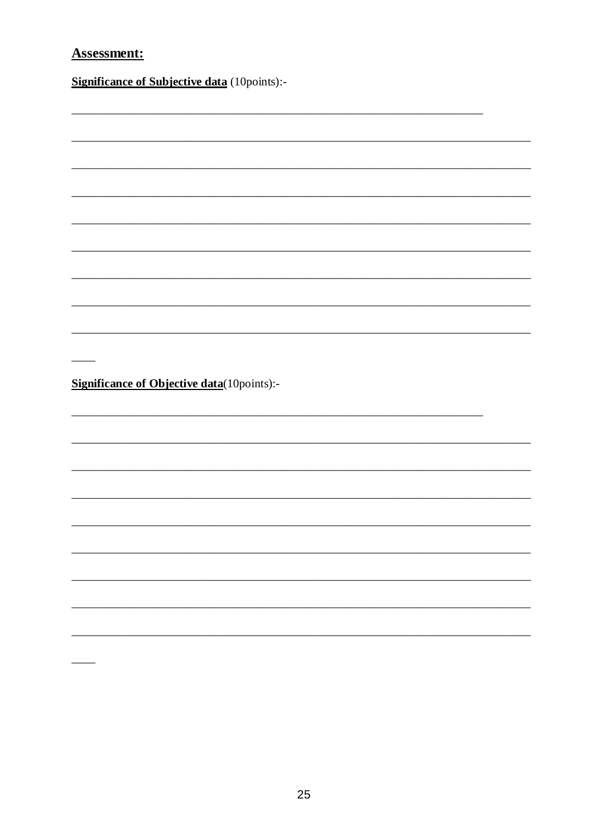## **Assessment:**

 $\overline{\phantom{0}}$ 

**Significance of Subjective data** (10points):-

 $\overline{\phantom{a}}$ 

**Significance of Objective data**(10points):-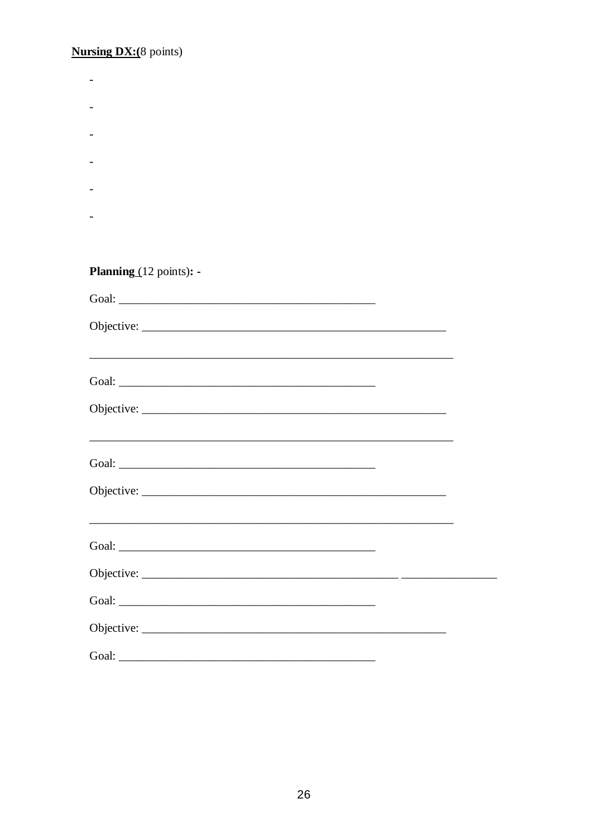**Nursing DX:** $(8 \text{ points})$ 

| <b>Planning</b> $(12 \text{ points})$ : - |  |
|-------------------------------------------|--|
|                                           |  |
|                                           |  |
|                                           |  |
|                                           |  |
|                                           |  |
|                                           |  |
|                                           |  |
|                                           |  |
|                                           |  |
|                                           |  |
|                                           |  |
|                                           |  |
|                                           |  |
|                                           |  |
|                                           |  |
|                                           |  |
|                                           |  |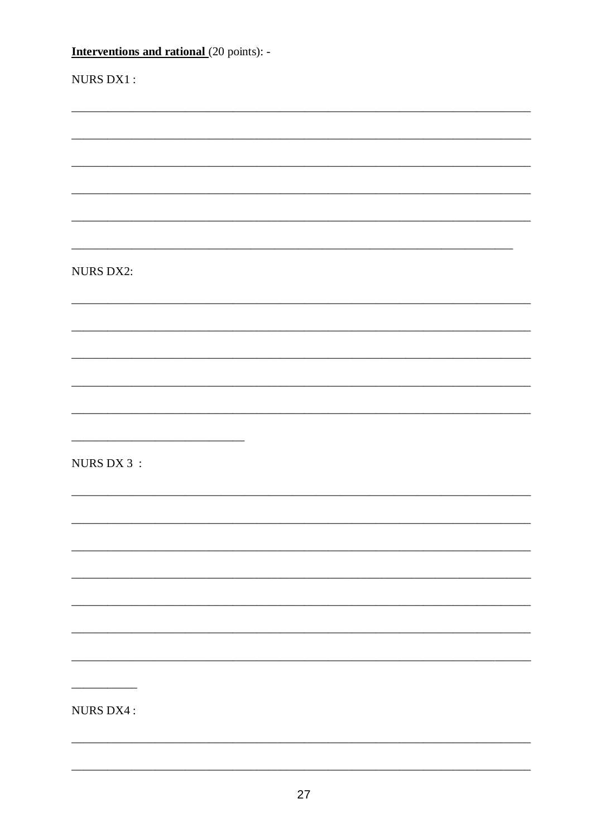| <b>Interventions and rational</b> (20 points): - |
|--------------------------------------------------|
| NURS DX1:                                        |
|                                                  |
|                                                  |
|                                                  |
|                                                  |
|                                                  |
| <b>NURS DX2:</b>                                 |
|                                                  |
|                                                  |
|                                                  |
|                                                  |
|                                                  |
| NURS DX 3 :                                      |
|                                                  |
|                                                  |
|                                                  |
|                                                  |
|                                                  |
|                                                  |
|                                                  |
| NURS DX4:                                        |
|                                                  |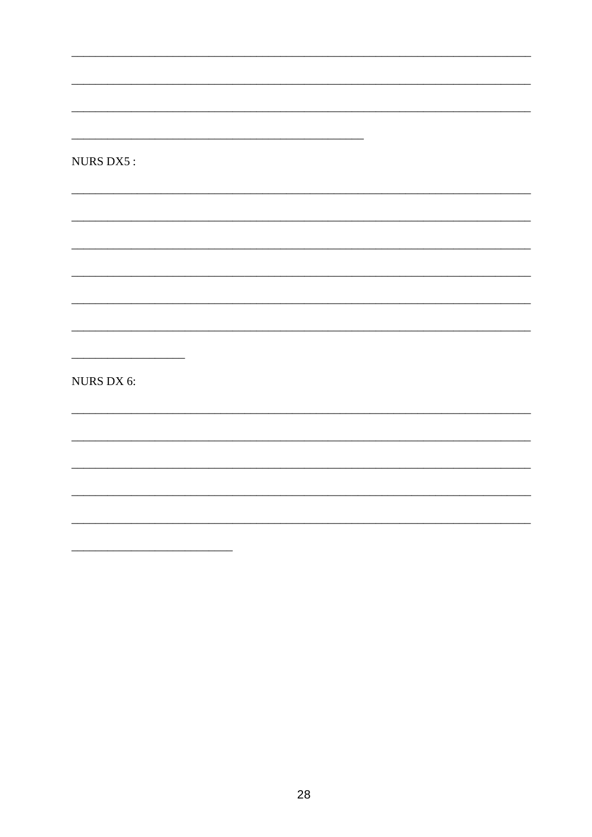NURS DX5 :

NURS DX 6:

 $\overline{\phantom{a}}$ 

 $\overline{\phantom{a}}$